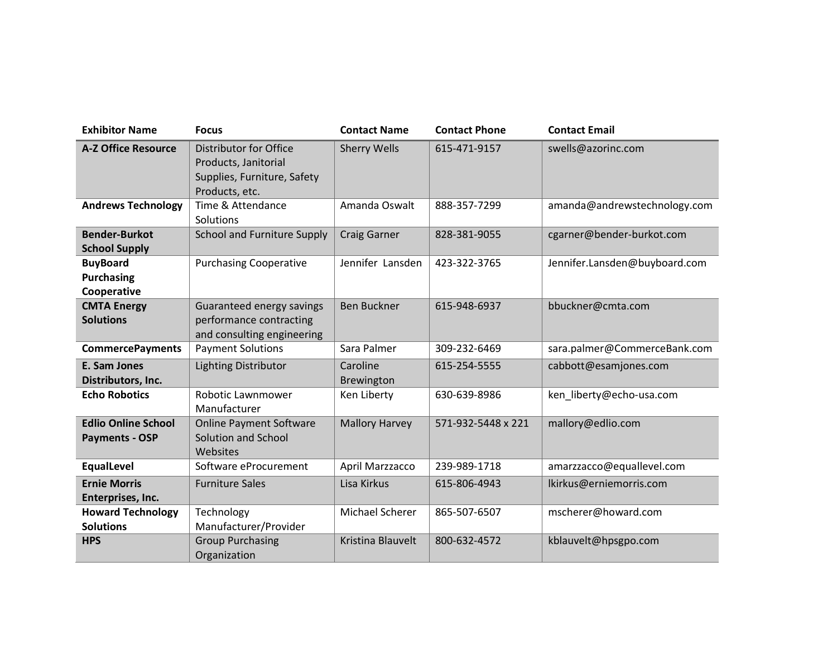| <b>Exhibitor Name</b>              | <b>Focus</b>                                                                  | <b>Contact Name</b>    | <b>Contact Phone</b> | <b>Contact Email</b>          |
|------------------------------------|-------------------------------------------------------------------------------|------------------------|----------------------|-------------------------------|
| <b>A-Z Office Resource</b>         | Distributor for Office<br>Products, Janitorial<br>Supplies, Furniture, Safety | <b>Sherry Wells</b>    | 615-471-9157         | swells@azorinc.com            |
|                                    | Products, etc.                                                                |                        |                      |                               |
| <b>Andrews Technology</b>          | Time & Attendance<br>Solutions                                                | Amanda Oswalt          | 888-357-7299         | amanda@andrewstechnology.com  |
| <b>Bender-Burkot</b>               | <b>School and Furniture Supply</b>                                            | <b>Craig Garner</b>    | 828-381-9055         | cgarner@bender-burkot.com     |
| <b>School Supply</b>               |                                                                               |                        |                      |                               |
| <b>BuyBoard</b>                    | <b>Purchasing Cooperative</b>                                                 | Jennifer Lansden       | 423-322-3765         | Jennifer.Lansden@buyboard.com |
| <b>Purchasing</b>                  |                                                                               |                        |                      |                               |
| Cooperative                        |                                                                               |                        |                      |                               |
| <b>CMTA Energy</b>                 | Guaranteed energy savings                                                     | <b>Ben Buckner</b>     | 615-948-6937         | bbuckner@cmta.com             |
| <b>Solutions</b>                   | performance contracting                                                       |                        |                      |                               |
|                                    | and consulting engineering                                                    |                        |                      |                               |
| <b>CommercePayments</b>            | <b>Payment Solutions</b>                                                      | Sara Palmer            | 309-232-6469         | sara.palmer@CommerceBank.com  |
| E. Sam Jones<br>Distributors, Inc. | <b>Lighting Distributor</b>                                                   | Caroline<br>Brewington | 615-254-5555         | cabbott@esamjones.com         |
| <b>Echo Robotics</b>               | Robotic Lawnmower                                                             | Ken Liberty            | 630-639-8986         | ken_liberty@echo-usa.com      |
|                                    | Manufacturer                                                                  |                        |                      |                               |
| <b>Edlio Online School</b>         | <b>Online Payment Software</b>                                                | <b>Mallory Harvey</b>  | 571-932-5448 x 221   | mallory@edlio.com             |
| <b>Payments - OSP</b>              | Solution and School<br>Websites                                               |                        |                      |                               |
| <b>EqualLevel</b>                  | Software eProcurement                                                         | April Marzzacco        | 239-989-1718         | amarzzacco@equallevel.com     |
| <b>Ernie Morris</b>                | <b>Furniture Sales</b>                                                        | Lisa Kirkus            | 615-806-4943         | lkirkus@erniemorris.com       |
| Enterprises, Inc.                  |                                                                               |                        |                      |                               |
| <b>Howard Technology</b>           | Technology                                                                    | Michael Scherer        | 865-507-6507         | mscherer@howard.com           |
| <b>Solutions</b>                   | Manufacturer/Provider                                                         |                        |                      |                               |
| <b>HPS</b>                         | <b>Group Purchasing</b>                                                       | Kristina Blauvelt      | 800-632-4572         | kblauvelt@hpsgpo.com          |
|                                    | Organization                                                                  |                        |                      |                               |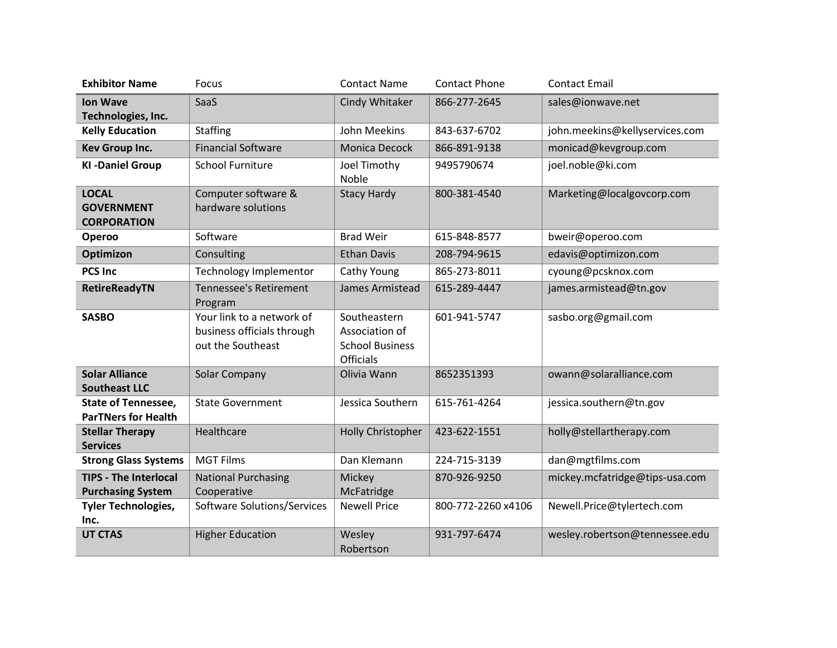| <b>Exhibitor Name</b>                                    | Focus                                                                        | <b>Contact Name</b>                                                   | <b>Contact Phone</b> | <b>Contact Email</b>           |
|----------------------------------------------------------|------------------------------------------------------------------------------|-----------------------------------------------------------------------|----------------------|--------------------------------|
| <b>Ion Wave</b><br>Technologies, Inc.                    | SaaS                                                                         | Cindy Whitaker                                                        | 866-277-2645         | sales@ionwave.net              |
| <b>Kelly Education</b>                                   | <b>Staffing</b>                                                              | John Meekins                                                          | 843-637-6702         | john.meekins@kellyservices.com |
| <b>Kev Group Inc.</b>                                    | <b>Financial Software</b>                                                    | Monica Decock                                                         | 866-891-9138         | monicad@kevgroup.com           |
| <b>KI-Daniel Group</b>                                   | <b>School Furniture</b>                                                      | Joel Timothy<br>Noble                                                 | 9495790674           | joel.noble@ki.com              |
| <b>LOCAL</b><br><b>GOVERNMENT</b><br><b>CORPORATION</b>  | Computer software &<br>hardware solutions                                    | <b>Stacy Hardy</b>                                                    | 800-381-4540         | Marketing@localgovcorp.com     |
| Operoo                                                   | Software                                                                     | <b>Brad Weir</b>                                                      | 615-848-8577         | bweir@operoo.com               |
| <b>Optimizon</b>                                         | Consulting                                                                   | <b>Ethan Davis</b>                                                    | 208-794-9615         | edavis@optimizon.com           |
| <b>PCS Inc</b>                                           | <b>Technology Implementor</b>                                                | Cathy Young                                                           | 865-273-8011         | cyoung@pcsknox.com             |
| <b>RetireReadyTN</b>                                     | <b>Tennessee's Retirement</b><br>Program                                     | James Armistead                                                       | 615-289-4447         | james.armistead@tn.gov         |
| <b>SASBO</b>                                             | Your link to a network of<br>business officials through<br>out the Southeast | Southeastern<br>Association of<br><b>School Business</b><br>Officials | 601-941-5747         | sasbo.org@gmail.com            |
| <b>Solar Alliance</b><br><b>Southeast LLC</b>            | Solar Company                                                                | Olivia Wann                                                           | 8652351393           | owann@solaralliance.com        |
| <b>State of Tennessee,</b><br><b>ParTNers for Health</b> | <b>State Government</b>                                                      | Jessica Southern                                                      | 615-761-4264         | jessica.southern@tn.gov        |
| <b>Stellar Therapy</b><br><b>Services</b>                | Healthcare                                                                   | Holly Christopher                                                     | 423-622-1551         | holly@stellartherapy.com       |
| <b>Strong Glass Systems</b>                              | <b>MGT Films</b>                                                             | Dan Klemann                                                           | 224-715-3139         | dan@mgtfilms.com               |
| <b>TIPS - The Interlocal</b><br><b>Purchasing System</b> | <b>National Purchasing</b><br>Cooperative                                    | Mickey<br>McFatridge                                                  | 870-926-9250         | mickey.mcfatridge@tips-usa.com |
| <b>Tyler Technologies,</b><br>Inc.                       | Software Solutions/Services                                                  | <b>Newell Price</b>                                                   | 800-772-2260 x4106   | Newell.Price@tylertech.com     |
| <b>UT CTAS</b>                                           | <b>Higher Education</b>                                                      | Wesley<br>Robertson                                                   | 931-797-6474         | wesley.robertson@tennessee.edu |